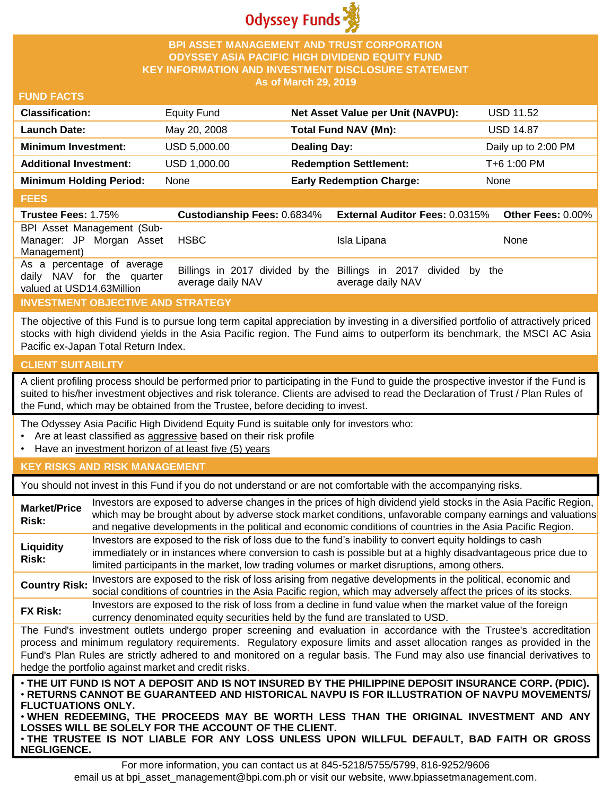

### **BPI ASSET MANAGEMENT AND TRUST CORPORATION ODYSSEY ASIA PACIFIC HIGH DIVIDEND EQUITY FUND KEY INFORMATION AND INVESTMENT DISCLOSURE STATEMENT As of March 29, 2019**

#### **FUND FACTS**

| <b>Classification:</b>         | Equity Fund  | Net Asset Value per Unit (NAVPU): | <b>USD 11.52</b>    |
|--------------------------------|--------------|-----------------------------------|---------------------|
| <b>Launch Date:</b>            | May 20, 2008 | <b>Total Fund NAV (Mn):</b>       | <b>USD 14.87</b>    |
| <b>Minimum Investment:</b>     | USD 5,000.00 | <b>Dealing Day:</b>               | Daily up to 2:00 PM |
| <b>Additional Investment:</b>  | USD 1,000.00 | <b>Redemption Settlement:</b>     | T+6 1:00 PM         |
| <b>Minimum Holding Period:</b> | None         | <b>Early Redemption Charge:</b>   | None                |

#### **FEES**

| <b>Trustee Fees: 1.75%</b>                                                           | <b>Custodianship Fees: 0.6834%</b> | <b>External Auditor Fees: 0.0315%</b>                                                | <b>Other Fees: 0.00%</b> |
|--------------------------------------------------------------------------------------|------------------------------------|--------------------------------------------------------------------------------------|--------------------------|
| BPI Asset Management (Sub-<br>Manager: JP Morgan Asset<br>Management)                | HSBC                               | Isla Lipana                                                                          | None                     |
| As a percentage of average<br>daily NAV for the quarter<br>valued at USD14.63Million | average daily NAV                  | Billings in 2017 divided by the Billings in 2017 divided by the<br>average daily NAV |                          |

# **INVESTMENT OBJECTIVE AND STRATEGY**

The objective of this Fund is to pursue long term capital appreciation by investing in a diversified portfolio of attractively priced stocks with high dividend yields in the Asia Pacific region. The Fund aims to outperform its benchmark, the MSCI AC Asia Pacific ex-Japan Total Return Index.

# **CLIENT SUITABILITY**

**NEGLIGENCE.**

A client profiling process should be performed prior to participating in the Fund to guide the prospective investor if the Fund is suited to his/her investment objectives and risk tolerance. Clients are advised to read the Declaration of Trust / Plan Rules of the Fund, which may be obtained from the Trustee, before deciding to invest.

The Odyssey Asia Pacific High Dividend Equity Fund is suitable only for investors who:

- Are at least classified as aggressive based on their risk profile
- Have an investment horizon of at least five (5) years

#### **KEY RISKS AND RISK MANAGEMENT**

You should not invest in this Fund if you do not understand or are not comfortable with the accompanying risks.

| <b>Market/Price</b><br>Risk:                                                                                                                                                                                                                                                                                                                                                                                                                                                 | Investors are exposed to adverse changes in the prices of high dividend yield stocks in the Asia Pacific Region,<br>which may be brought about by adverse stock market conditions, unfavorable company earnings and valuations<br>and negative developments in the political and economic conditions of countries in the Asia Pacific Region. |  |
|------------------------------------------------------------------------------------------------------------------------------------------------------------------------------------------------------------------------------------------------------------------------------------------------------------------------------------------------------------------------------------------------------------------------------------------------------------------------------|-----------------------------------------------------------------------------------------------------------------------------------------------------------------------------------------------------------------------------------------------------------------------------------------------------------------------------------------------|--|
| Liquidity<br>Risk:                                                                                                                                                                                                                                                                                                                                                                                                                                                           | Investors are exposed to the risk of loss due to the fund's inability to convert equity holdings to cash<br>immediately or in instances where conversion to cash is possible but at a highly disadvantageous price due to<br>limited participants in the market, low trading volumes or market disruptions, among others.                     |  |
| <b>Country Risk:</b>                                                                                                                                                                                                                                                                                                                                                                                                                                                         | Investors are exposed to the risk of loss arising from negative developments in the political, economic and<br>social conditions of countries in the Asia Pacific region, which may adversely affect the prices of its stocks.                                                                                                                |  |
| <b>FX Risk:</b>                                                                                                                                                                                                                                                                                                                                                                                                                                                              | Investors are exposed to the risk of loss from a decline in fund value when the market value of the foreign<br>currency denominated equity securities held by the fund are translated to USD.                                                                                                                                                 |  |
| The Fund's investment outlets undergo proper screening and evaluation in accordance with the Trustee's accreditation<br>process and minimum regulatory requirements. Regulatory exposure limits and asset allocation ranges as provided in the<br>Fund's Plan Rules are strictly adhered to and monitored on a regular basis. The Fund may also use financial derivatives to<br>hedge the portfolio against market and credit risks.                                         |                                                                                                                                                                                                                                                                                                                                               |  |
| . THE UIT FUND IS NOT A DEPOSIT AND IS NOT INSURED BY THE PHILIPPINE DEPOSIT INSURANCE CORP. (PDIC).<br>⋅RETURNS CANNOT BE GUARANTEED AND HISTORICAL NAVPU IS FOR ILLUSTRATION OF NAVPU MOVEMENTS/<br><b>FLUCTUATIONS ONLY.</b><br>. WHEN REDEEMING, THE PROCEEDS MAY BE WORTH LESS THAN THE ORIGINAL INVESTMENT AND ANY<br>LOSSES WILL BE SOLELY FOR THE ACCOUNT OF THE CLIENT.<br>. THE TRUSTEE IS NOT LIABLE FOR ANY LOSS UNLESS UPON WILLFUL DEFAULT, BAD FAITH OR GROSS |                                                                                                                                                                                                                                                                                                                                               |  |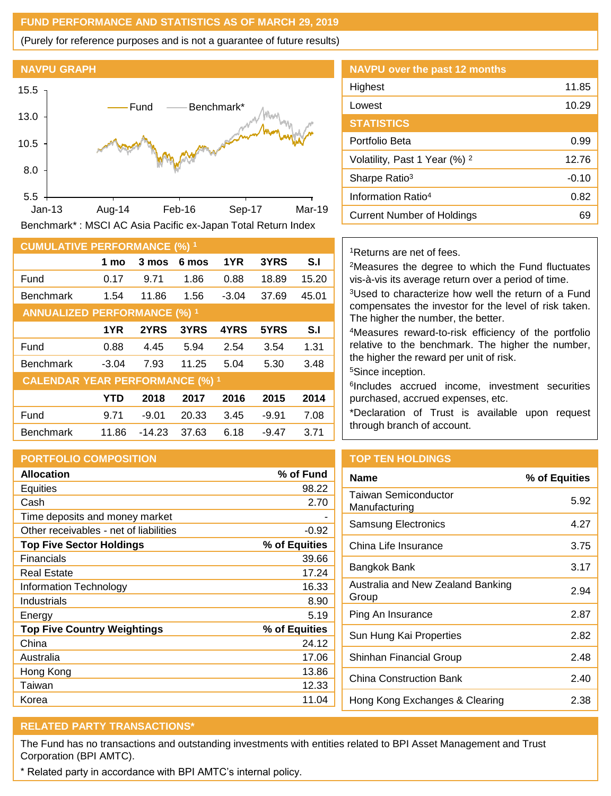## **FUND PERFORMANCE AND STATISTICS AS OF MARCH 29, 2019**

(Purely for reference purposes and is not a guarantee of future results)

## **NAVPU GRAPH**



**CUMULATIVE PERFORMANCE (%) <sup>1</sup> 1 mo 3 mos 6 mos 1YR 3YRS S.I** Fund 0.17 9.71 1.86 0.88 18.89 15.20 Benchmark 1.54 11.86 1.56 -3.04 37.69 45.01 **ANNUALIZED PERFORMANCE (%) <sup>1</sup> 1YR 2YRS 3YRS 4YRS 5YRS S.I** Fund 0.88 4.45 5.94 2.54 3.54 1.31 Benchmark -3.04 7.93 11.25 5.04 5.30 3.48 **CALENDAR YEAR PERFORMANCE (%) <sup>1</sup> YTD 2018 2017 2016 2015 2014** Fund 9.71 -9.01 20.33 3.45 -9.91 7.08 Benchmark 11.86 -14.23 37.63 6.18 -9.47 3.71

# **PORTFOLIO COMPOSITION**

| <b>Allocation</b>                      | % of Fund     |
|----------------------------------------|---------------|
| Equities                               | 98.22         |
| Cash                                   | 2.70          |
| Time deposits and money market         |               |
| Other receivables - net of liabilities | $-0.92$       |
| <b>Top Five Sector Holdings</b>        | % of Equities |
| Financials                             | 39.66         |
| <b>Real Estate</b>                     | 17.24         |
| Information Technology                 | 16.33         |
| Industrials                            | 8.90          |
| Energy                                 | 5.19          |
| <b>Top Five Country Weightings</b>     | % of Equities |
| China                                  | 24.12         |
| Australia                              | 17.06         |
| Hong Kong                              | 13.86         |
| Taiwan                                 | 12.33         |
| Korea                                  | 11.04         |

| <b>NAVPU over the past 12 months</b>     |         |
|------------------------------------------|---------|
| Highest                                  | 11.85   |
| Lowest                                   | 10.29   |
| <b>STATISTICS</b>                        |         |
| Portfolio Beta                           | 0.99    |
| Volatility, Past 1 Year (%) <sup>2</sup> | 12.76   |
| Sharpe Ratio <sup>3</sup>                | $-0.10$ |
| Information Ratio <sup>4</sup>           | 0.82    |
| <b>Current Number of Holdings</b>        | 69      |

#### <sup>1</sup>Returns are net of fees.

<sup>2</sup>Measures the degree to which the Fund fluctuates vis-à-vis its average return over a period of time.

<sup>3</sup>Used to characterize how well the return of a Fund compensates the investor for the level of risk taken. The higher the number, the better.

<sup>4</sup>Measures reward-to-risk efficiency of the portfolio relative to the benchmark. The higher the number, the higher the reward per unit of risk.

<sup>5</sup>Since inception.

6 Includes accrued income, investment securities purchased, accrued expenses, etc.

\*Declaration of Trust is available upon request through branch of account.

# **TOP TEN HOLDINGS**

| <b>Name</b>                                  | % of Equities |
|----------------------------------------------|---------------|
| <b>Taiwan Semiconductor</b><br>Manufacturing | 5.92          |
| Samsung Electronics                          | 4.27          |
| China Life Insurance                         | 3.75          |
| Bangkok Bank                                 | 3.17          |
| Australia and New Zealand Banking<br>Group   | 2.94          |
| Ping An Insurance                            | 2.87          |
| Sun Hung Kai Properties                      | 2.82          |
| Shinhan Financial Group                      | 2.48          |
| China Construction Bank                      | 2.40          |
| Hong Kong Exchanges & Clearing               | 2.38          |

# **RELATED PARTY TRANSACTIONS\***

The Fund has no transactions and outstanding investments with entities related to BPI Asset Management and Trust Corporation (BPI AMTC).

\* Related party in accordance with BPI AMTC's internal policy.